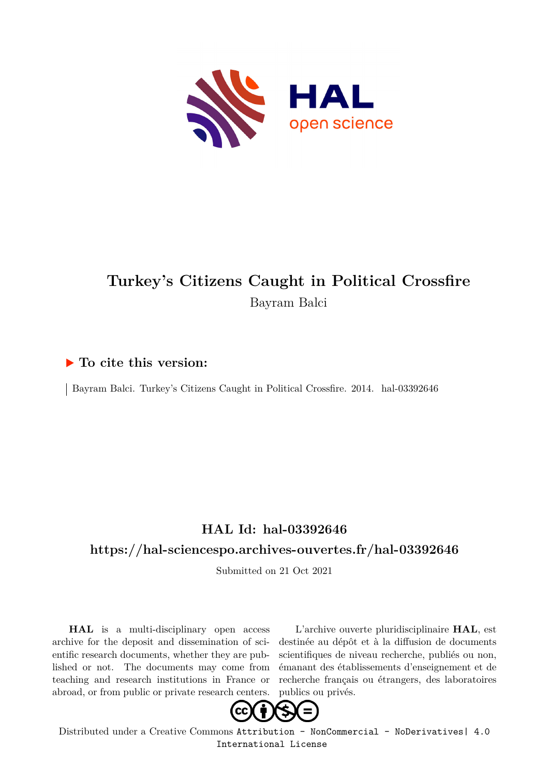

## **Turkey's Citizens Caught in Political Crossfire** Bayram Balci

#### **To cite this version:**

Bayram Balci. Turkey's Citizens Caught in Political Crossfire. 2014. hal-03392646

## **HAL Id: hal-03392646**

### **<https://hal-sciencespo.archives-ouvertes.fr/hal-03392646>**

Submitted on 21 Oct 2021

**HAL** is a multi-disciplinary open access archive for the deposit and dissemination of scientific research documents, whether they are published or not. The documents may come from teaching and research institutions in France or abroad, or from public or private research centers.

L'archive ouverte pluridisciplinaire **HAL**, est destinée au dépôt et à la diffusion de documents scientifiques de niveau recherche, publiés ou non, émanant des établissements d'enseignement et de recherche français ou étrangers, des laboratoires publics ou privés.



Distributed under a Creative Commons [Attribution - NonCommercial - NoDerivatives| 4.0](http://creativecommons.org/licenses/by-nc-nd/4.0/) [International License](http://creativecommons.org/licenses/by-nc-nd/4.0/)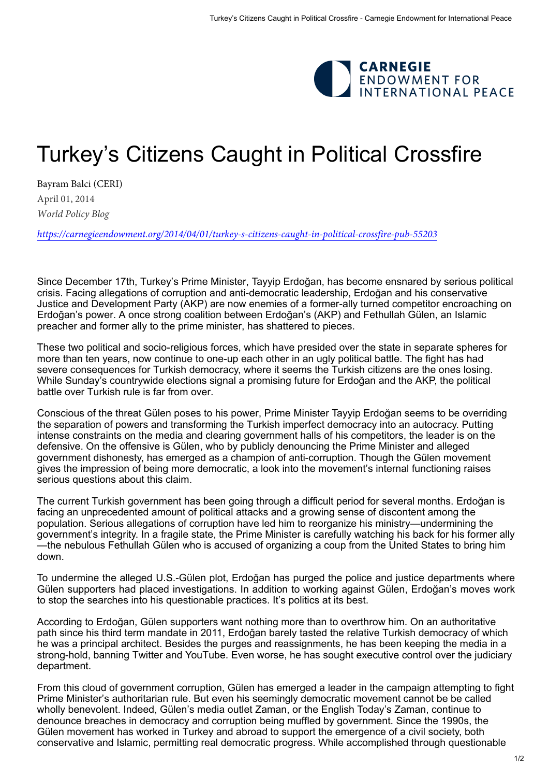

# Turkey's Citizens Caught in Political Crossfire

[Bayram Balci](https://carnegieendowment.org/experts/663) (CERI) April 01, 2014 *World Policy Blog*

*<https://carnegieendowment.org/2014/04/01/turkey-s-citizens-caught-in-political-crossfire-pub-55203>*

Since December 17th, Turkey's Prime Minister, Tayyip Erdoğan, has become ensnared by serious political crisis. Facing allegations of corruption and anti-democratic leadership, Erdoğan and his conservative Justice and Development Party (AKP) are now enemies of a former-ally turned competitor encroaching on Erdoğan's power. A once strong coalition between Erdoğan's (AKP) and Fethullah Gülen, an Islamic preacher and former ally to the prime minister, has shattered to pieces.

These two political and socio-religious forces, which have presided over the state in separate spheres for more than ten years, now continue to one-up each other in an ugly political battle. The fight has had severe consequences for Turkish democracy, where it seems the Turkish citizens are the ones losing. While Sunday's countrywide elections signal a promising future for Erdoğan and the AKP, the political battle over Turkish rule is far from over.

Conscious of the threat Gülen poses to his power, Prime Minister Tayyip Erdoğan seems to be overriding the separation of powers and transforming the Turkish imperfect democracy into an autocracy. Putting intense constraints on the media and clearing government halls of his competitors, the leader is on the defensive. On the offensive is Gülen, who by publicly denouncing the Prime Minister and alleged government dishonesty, has emerged as a champion of anti-corruption. Though the Gülen movement gives the impression of being more democratic, a look into the movement's internal functioning raises serious questions about this claim.

The current Turkish government has been going through a difficult period for several months. Erdoğan is facing an unprecedented amount of political attacks and a growing sense of discontent among the population. Serious allegations of corruption have led him to reorganize his ministry—undermining the government's integrity. In a fragile state, the Prime Minister is carefully watching his back for his former ally —the nebulous Fethullah Gülen who is accused of organizing a coup from the United States to bring him down.

To undermine the alleged U.S.-Gülen plot, Erdoğan has purged the police and justice departments where Gülen supporters had placed investigations. In addition to working against Gülen, Erdoğan's moves work to stop the searches into his questionable practices. It's politics at its best.

According to Erdoğan, Gülen supporters want nothing more than to overthrow him. On an authoritative path since his third term mandate in 2011, Erdoğan barely tasted the relative Turkish democracy of which he was a principal architect. Besides the purges and reassignments, he has been keeping the media in a strong-hold, banning Twitter and YouTube. Even worse, he has sought executive control over the judiciary department.

From this cloud of government corruption, Gülen has emerged a leader in the campaign attempting to fight Prime Minister's authoritarian rule. But even his seemingly democratic movement cannot be be called wholly benevolent. Indeed, Gülen's media outlet Zaman, or the English Today's Zaman, continue to denounce breaches in democracy and corruption being muffled by government. Since the 1990s, the Gülen movement has worked in Turkey and abroad to support the emergence of a civil society, both conservative and Islamic, permitting real democratic progress. While accomplished through questionable